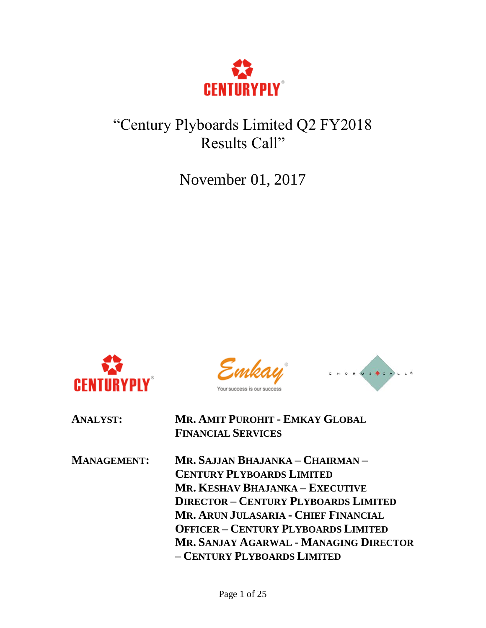

# "Century Plyboards Limited Q2 FY2018 Results Call"

November 01, 2017



r success



**ANALYST: MR. AMIT PUROHIT - EMKAY GLOBAL FINANCIAL SERVICES**

**MANAGEMENT: MR. SAJJAN BHAJANKA – CHAIRMAN – CENTURY PLYBOARDS LIMITED MR. KESHAV BHAJANKA – EXECUTIVE DIRECTOR – CENTURY PLYBOARDS LIMITED MR. ARUN JULASARIA - CHIEF FINANCIAL OFFICER – CENTURY PLYBOARDS LIMITED MR. SANJAY AGARWAL - MANAGING DIRECTOR – CENTURY PLYBOARDS LIMITED**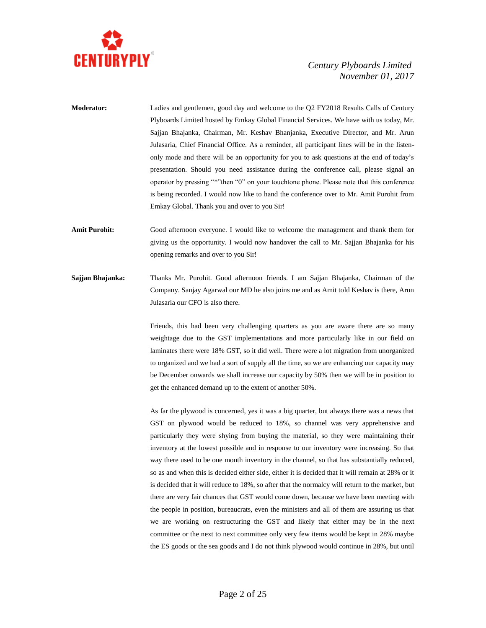

- **Moderator:** Ladies and gentlemen, good day and welcome to the Q2 FY2018 Results Calls of Century Plyboards Limited hosted by Emkay Global Financial Services. We have with us today, Mr. Sajjan Bhajanka, Chairman, Mr. Keshav Bhanjanka, Executive Director, and Mr. Arun Julasaria, Chief Financial Office. As a reminder, all participant lines will be in the listenonly mode and there will be an opportunity for you to ask questions at the end of today's presentation. Should you need assistance during the conference call, please signal an operator by pressing "\*"then "0" on your touchtone phone. Please note that this conference is being recorded. I would now like to hand the conference over to Mr. Amit Purohit from Emkay Global. Thank you and over to you Sir!
- **Amit Purohit:** Good afternoon everyone. I would like to welcome the management and thank them for giving us the opportunity. I would now handover the call to Mr. Sajjan Bhajanka for his opening remarks and over to you Sir!
- **Sajjan Bhajanka:** Thanks Mr. Purohit. Good afternoon friends. I am Sajjan Bhajanka, Chairman of the Company. Sanjay Agarwal our MD he also joins me and as Amit told Keshav is there, Arun Julasaria our CFO is also there.

Friends, this had been very challenging quarters as you are aware there are so many weightage due to the GST implementations and more particularly like in our field on laminates there were 18% GST, so it did well. There were a lot migration from unorganized to organized and we had a sort of supply all the time, so we are enhancing our capacity may be December onwards we shall increase our capacity by 50% then we will be in position to get the enhanced demand up to the extent of another 50%.

As far the plywood is concerned, yes it was a big quarter, but always there was a news that GST on plywood would be reduced to 18%, so channel was very apprehensive and particularly they were shying from buying the material, so they were maintaining their inventory at the lowest possible and in response to our inventory were increasing. So that way there used to be one month inventory in the channel, so that has substantially reduced, so as and when this is decided either side, either it is decided that it will remain at 28% or it is decided that it will reduce to 18%, so after that the normalcy will return to the market, but there are very fair chances that GST would come down, because we have been meeting with the people in position, bureaucrats, even the ministers and all of them are assuring us that we are working on restructuring the GST and likely that either may be in the next committee or the next to next committee only very few items would be kept in 28% maybe the ES goods or the sea goods and I do not think plywood would continue in 28%, but until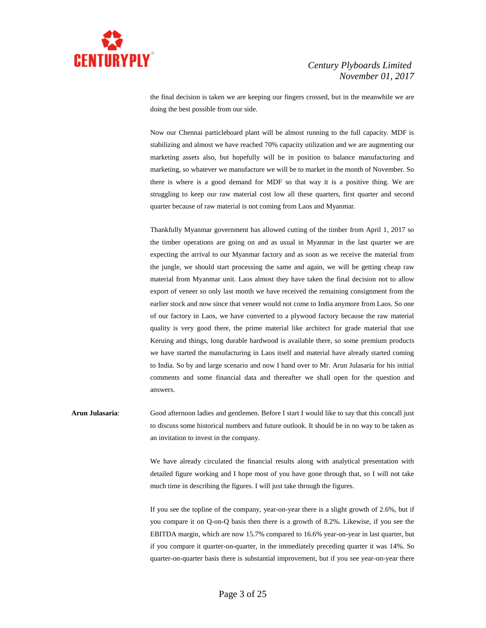

the final decision is taken we are keeping our fingers crossed, but in the meanwhile we are doing the best possible from our side.

Now our Chennai particleboard plant will be almost running to the full capacity. MDF is stabilizing and almost we have reached 70% capacity utilization and we are augmenting our marketing assets also, but hopefully will be in position to balance manufacturing and marketing, so whatever we manufacture we will be to market in the month of November. So there is where is a good demand for MDF so that way it is a positive thing. We are struggling to keep our raw material cost low all these quarters, first quarter and second quarter because of raw material is not coming from Laos and Myanmar.

Thankfully Myanmar government has allowed cutting of the timber from April 1, 2017 so the timber operations are going on and as usual in Myanmar in the last quarter we are expecting the arrival to our Myanmar factory and as soon as we receive the material from the jungle, we should start processing the same and again, we will be getting cheap raw material from Myanmar unit. Laos almost they have taken the final decision not to allow export of veneer so only last month we have received the remaining consignment from the earlier stock and now since that veneer would not come to India anymore from Laos. So one of our factory in Laos, we have converted to a plywood factory because the raw material quality is very good there, the prime material like architect for grade material that use Keruing and things, long durable hardwood is available there, so some premium products we have started the manufacturing in Laos itself and material have already started coming to India. So by and large scenario and now I hand over to Mr. Arun Julasaria for his initial comments and some financial data and thereafter we shall open for the question and answers.

**Arun Julasaria**: Good afternoon ladies and gentlemen. Before I start I would like to say that this concall just to discuss some historical numbers and future outlook. It should be in no way to be taken as an invitation to invest in the company.

> We have already circulated the financial results along with analytical presentation with detailed figure working and I hope most of you have gone through that, so I will not take much time in describing the figures. I will just take through the figures.

> If you see the topline of the company, year-on-year there is a slight growth of 2.6%, but if you compare it on Q-on-Q basis then there is a growth of 8.2%. Likewise, if you see the EBITDA margin, which are now 15.7% compared to 16.6% year-on-year in last quarter, but if you compare it quarter-on-quarter, in the immediately preceding quarter it was 14%. So quarter-on-quarter basis there is substantial improvement, but if you see year-on-year there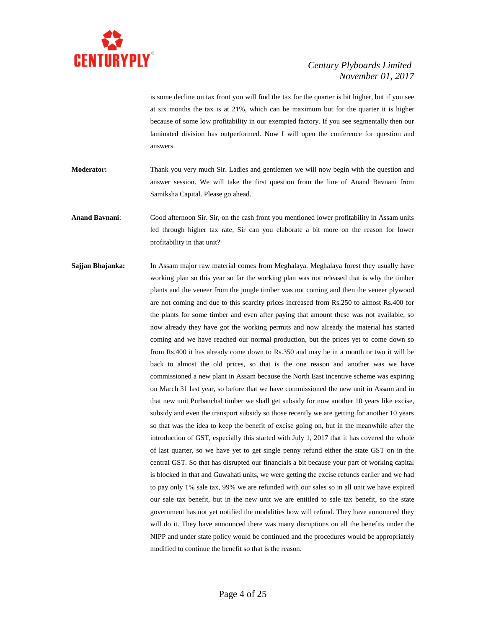

is some decline on tax front you will find the tax for the quarter is bit higher, but if you see at six months the tax is at 21%, which can be maximum but for the quarter it is higher because of some low profitability in our exempted factory. If you see segmentally then our laminated division has outperformed. Now I will open the conference for question and answers.

- **Moderator:** Thank you very much Sir. Ladies and gentlemen we will now begin with the question and answer session. We will take the first question from the line of Anand Bavnani from Samiksha Capital. Please go ahead.
- **Anand Bavnani**: Good afternoon Sir. Sir, on the cash front you mentioned lower profitability in Assam units led through higher tax rate, Sir can you elaborate a bit more on the reason for lower profitability in that unit?
- **Sajjan Bhajanka:** In Assam major raw material comes from Meghalaya. Meghalaya forest they usually have working plan so this year so far the working plan was not released that is why the timber plants and the veneer from the jungle timber was not coming and then the veneer plywood are not coming and due to this scarcity prices increased from Rs.250 to almost Rs.400 for the plants for some timber and even after paying that amount these was not available, so now already they have got the working permits and now already the material has started coming and we have reached our normal production, but the prices yet to come down so from Rs.400 it has already come down to Rs.350 and may be in a month or two it will be back to almost the old prices, so that is the one reason and another was we have commissioned a new plant in Assam because the North East incentive scheme was expiring on March 31 last year, so before that we have commissioned the new unit in Assam and in that new unit Purbanchal timber we shall get subsidy for now another 10 years like excise, subsidy and even the transport subsidy so those recently we are getting for another 10 years so that was the idea to keep the benefit of excise going on, but in the meanwhile after the introduction of GST, especially this started with July 1, 2017 that it has covered the whole of last quarter, so we have yet to get single penny refund either the state GST on in the central GST. So that has disrupted our financials a bit because your part of working capital is blocked in that and Guwahati units, we were getting the excise refunds earlier and we had to pay only 1% sale tax, 99% we are refunded with our sales so in all unit we have expired our sale tax benefit, but in the new unit we are entitled to sale tax benefit, so the state government has not yet notified the modalities how will refund. They have announced they will do it. They have announced there was many disruptions on all the benefits under the NIPP and under state policy would be continued and the procedures would be appropriately modified to continue the benefit so that is the reason.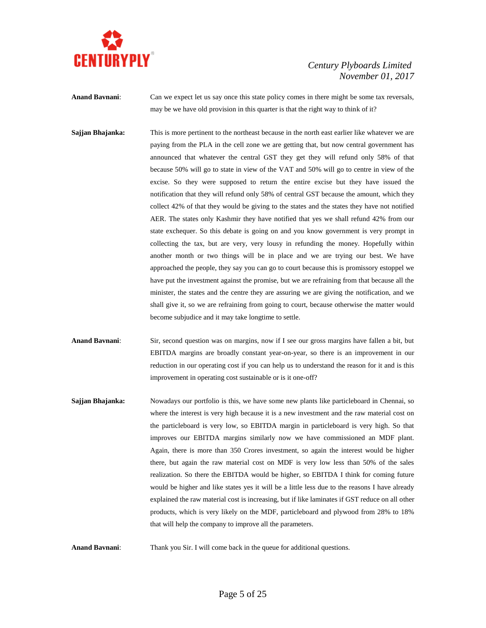

**Anand Bavnani:** Can we expect let us say once this state policy comes in there might be some tax reversals, may be we have old provision in this quarter is that the right way to think of it?

**Sajjan Bhajanka:** This is more pertinent to the northeast because in the north east earlier like whatever we are paying from the PLA in the cell zone we are getting that, but now central government has announced that whatever the central GST they get they will refund only 58% of that because 50% will go to state in view of the VAT and 50% will go to centre in view of the excise. So they were supposed to return the entire excise but they have issued the notification that they will refund only 58% of central GST because the amount, which they collect 42% of that they would be giving to the states and the states they have not notified AER. The states only Kashmir they have notified that yes we shall refund 42% from our state exchequer. So this debate is going on and you know government is very prompt in collecting the tax, but are very, very lousy in refunding the money. Hopefully within another month or two things will be in place and we are trying our best. We have approached the people, they say you can go to court because this is promissory estoppel we have put the investment against the promise, but we are refraining from that because all the minister, the states and the centre they are assuring we are giving the notification, and we shall give it, so we are refraining from going to court, because otherwise the matter would become subjudice and it may take longtime to settle.

- **Anand Bavnani**: Sir, second question was on margins, now if I see our gross margins have fallen a bit, but EBITDA margins are broadly constant year-on-year, so there is an improvement in our reduction in our operating cost if you can help us to understand the reason for it and is this improvement in operating cost sustainable or is it one-off?
- **Sajjan Bhajanka:** Nowadays our portfolio is this, we have some new plants like particleboard in Chennai, so where the interest is very high because it is a new investment and the raw material cost on the particleboard is very low, so EBITDA margin in particleboard is very high. So that improves our EBITDA margins similarly now we have commissioned an MDF plant. Again, there is more than 350 Crores investment, so again the interest would be higher there, but again the raw material cost on MDF is very low less than 50% of the sales realization. So there the EBITDA would be higher, so EBITDA I think for coming future would be higher and like states yes it will be a little less due to the reasons I have already explained the raw material cost is increasing, but if like laminates if GST reduce on all other products, which is very likely on the MDF, particleboard and plywood from 28% to 18% that will help the company to improve all the parameters.

**Anand Bavnani:** Thank you Sir. I will come back in the queue for additional questions.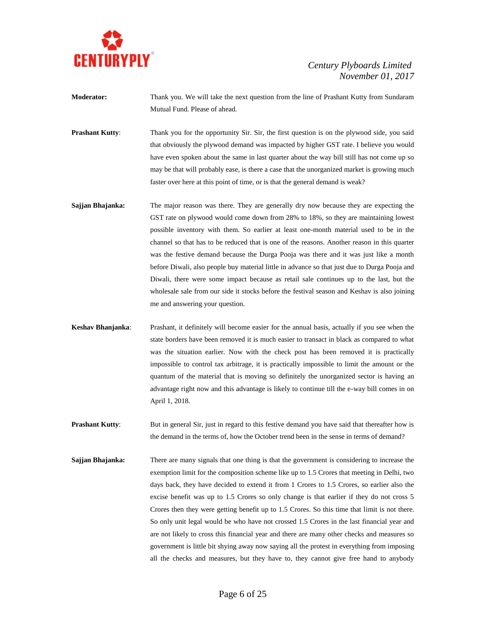

- **Moderator:** Thank you. We will take the next question from the line of Prashant Kutty from Sundaram Mutual Fund. Please of ahead.
- **Prashant Kutty:** Thank you for the opportunity Sir. Sir, the first question is on the plywood side, you said that obviously the plywood demand was impacted by higher GST rate. I believe you would have even spoken about the same in last quarter about the way bill still has not come up so may be that will probably ease, is there a case that the unorganized market is growing much faster over here at this point of time, or is that the general demand is weak?
- **Sajjan Bhajanka:** The major reason was there. They are generally dry now because they are expecting the GST rate on plywood would come down from 28% to 18%, so they are maintaining lowest possible inventory with them. So earlier at least one-month material used to be in the channel so that has to be reduced that is one of the reasons. Another reason in this quarter was the festive demand because the Durga Pooja was there and it was just like a month before Diwali, also people buy material little in advance so that just due to Durga Pooja and Diwali, there were some impact because as retail sale continues up to the last, but the wholesale sale from our side it stocks before the festival season and Keshav is also joining me and answering your question.
- **Keshav Bhanjanka**: Prashant, it definitely will become easier for the annual basis, actually if you see when the state borders have been removed it is much easier to transact in black as compared to what was the situation earlier. Now with the check post has been removed it is practically impossible to control tax arbitrage, it is practically impossible to limit the amount or the quantum of the material that is moving so definitely the unorganized sector is having an advantage right now and this advantage is likely to continue till the e-way bill comes in on April 1, 2018.
- **Prashant Kutty:** But in general Sir, just in regard to this festive demand you have said that thereafter how is the demand in the terms of, how the October trend been in the sense in terms of demand?
- **Sajjan Bhajanka:** There are many signals that one thing is that the government is considering to increase the exemption limit for the composition scheme like up to 1.5 Crores that meeting in Delhi, two days back, they have decided to extend it from 1 Crores to 1.5 Crores, so earlier also the excise benefit was up to 1.5 Crores so only change is that earlier if they do not cross 5 Crores then they were getting benefit up to 1.5 Crores. So this time that limit is not there. So only unit legal would be who have not crossed 1.5 Crores in the last financial year and are not likely to cross this financial year and there are many other checks and measures so government is little bit shying away now saying all the protest in everything from imposing all the checks and measures, but they have to, they cannot give free hand to anybody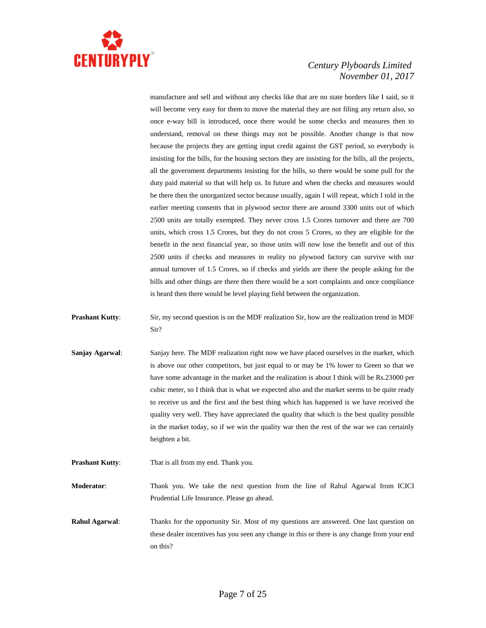

manufacture and sell and without any checks like that are no state borders like I said, so it will become very easy for them to move the material they are not filing any return also, so once e-way bill is introduced, once there would be some checks and measures then to understand, removal on these things may not be possible. Another change is that now because the projects they are getting input credit against the GST period, so everybody is insisting for the bills, for the housing sectors they are insisting for the bills, all the projects, all the government departments insisting for the bills, so there would be some pull for the duty paid material so that will help us. In future and when the checks and measures would be there then the unorganized sector because usually, again I will repeat, which I told in the earlier meeting consents that in plywood sector there are around 3300 units out of which 2500 units are totally exempted. They never cross 1.5 Crores turnover and there are 700 units, which cross 1.5 Crores, but they do not cross 5 Crores, so they are eligible for the benefit in the next financial year, so those units will now lose the benefit and out of this 2500 units if checks and measures in reality no plywood factory can survive with our annual turnover of 1.5 Crores, so if checks and yields are there the people asking for the bills and other things are there then there would be a sort complaints and once compliance is heard then there would be level playing field between the organization.

- **Prashant Kutty:** Sir, my second question is on the MDF realization Sir, how are the realization trend in MDF Sir?
- **Sanjay Agarwal:** Sanjay here. The MDF realization right now we have placed ourselves in the market, which is above our other competitors, but just equal to or may be 1% lower to Green so that we have some advantage in the market and the realization is about I think will be Rs.23000 per cubic meter, so I think that is what we expected also and the market seems to be quite ready to receive us and the first and the best thing which has happened is we have received the quality very well. They have appreciated the quality that which is the best quality possible in the market today, so if we win the quality war then the rest of the war we can certainly heighten a bit.
- **Prashant Kutty:** That is all from my end. Thank you.

**Moderator**: Thank you. We take the next question from the line of Rahul Agarwal from ICICI Prudential Life Insurance. Please go ahead.

**Rahul Agarwal:** Thanks for the opportunity Sir. Most of my questions are answered. One last question on these dealer incentives has you seen any change in this or there is any change from your end on this?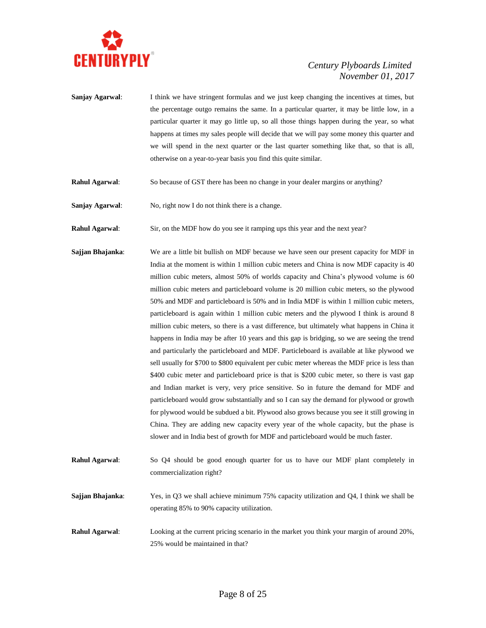

- **Sanjay Agarwal**: I think we have stringent formulas and we just keep changing the incentives at times, but the percentage outgo remains the same. In a particular quarter, it may be little low, in a particular quarter it may go little up, so all those things happen during the year, so what happens at times my sales people will decide that we will pay some money this quarter and we will spend in the next quarter or the last quarter something like that, so that is all, otherwise on a year-to-year basis you find this quite similar.
- **Rahul Agarwal**: So because of GST there has been no change in your dealer margins or anything?
- **Sanjay Agarwal:** No, right now I do not think there is a change.

**Rahul Agarwal:** Sir, on the MDF how do you see it ramping ups this year and the next year?

- **Sajjan Bhajanka**: We are a little bit bullish on MDF because we have seen our present capacity for MDF in India at the moment is within 1 million cubic meters and China is now MDF capacity is 40 million cubic meters, almost 50% of worlds capacity and China's plywood volume is 60 million cubic meters and particleboard volume is 20 million cubic meters, so the plywood 50% and MDF and particleboard is 50% and in India MDF is within 1 million cubic meters, particleboard is again within 1 million cubic meters and the plywood I think is around 8 million cubic meters, so there is a vast difference, but ultimately what happens in China it happens in India may be after 10 years and this gap is bridging, so we are seeing the trend and particularly the particleboard and MDF. Particleboard is available at like plywood we sell usually for \$700 to \$800 equivalent per cubic meter whereas the MDF price is less than \$400 cubic meter and particleboard price is that is \$200 cubic meter, so there is vast gap and Indian market is very, very price sensitive. So in future the demand for MDF and particleboard would grow substantially and so I can say the demand for plywood or growth for plywood would be subdued a bit. Plywood also grows because you see it still growing in China. They are adding new capacity every year of the whole capacity, but the phase is slower and in India best of growth for MDF and particleboard would be much faster.
- **Rahul Agarwal**: So Q4 should be good enough quarter for us to have our MDF plant completely in commercialization right?
- **Sajjan Bhajanka**: Yes, in Q3 we shall achieve minimum 75% capacity utilization and Q4, I think we shall be operating 85% to 90% capacity utilization.
- **Rahul Agarwal**: Looking at the current pricing scenario in the market you think your margin of around 20%, 25% would be maintained in that?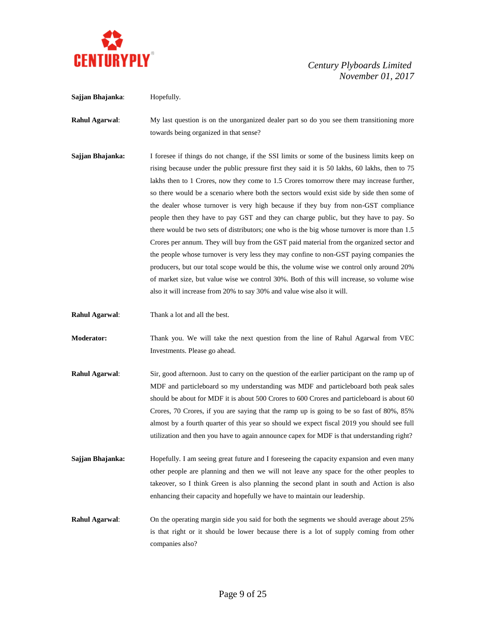

**Sajjan Bhajanka**: Hopefully.

 *Century Plyboards Limited November 01, 2017*

**Rahul Agarwal:** My last question is on the unorganized dealer part so do you see them transitioning more towards being organized in that sense? **Sajjan Bhajanka:** I foresee if things do not change, if the SSI limits or some of the business limits keep on

rising because under the public pressure first they said it is 50 lakhs, 60 lakhs, then to 75 lakhs then to 1 Crores, now they come to 1.5 Crores tomorrow there may increase further, so there would be a scenario where both the sectors would exist side by side then some of the dealer whose turnover is very high because if they buy from non-GST compliance people then they have to pay GST and they can charge public, but they have to pay. So there would be two sets of distributors; one who is the big whose turnover is more than 1.5 Crores per annum. They will buy from the GST paid material from the organized sector and the people whose turnover is very less they may confine to non-GST paying companies the producers, but our total scope would be this, the volume wise we control only around 20% of market size, but value wise we control 30%. Both of this will increase, so volume wise also it will increase from 20% to say 30% and value wise also it will.

**Rahul Agarwal**: Thank a lot and all the best.

**Moderator:** Thank you. We will take the next question from the line of Rahul Agarwal from VEC Investments. Please go ahead.

- **Rahul Agarwal**: Sir, good afternoon. Just to carry on the question of the earlier participant on the ramp up of MDF and particleboard so my understanding was MDF and particleboard both peak sales should be about for MDF it is about 500 Crores to 600 Crores and particleboard is about 60 Crores, 70 Crores, if you are saying that the ramp up is going to be so fast of 80%, 85% almost by a fourth quarter of this year so should we expect fiscal 2019 you should see full utilization and then you have to again announce capex for MDF is that understanding right?
- **Sajjan Bhajanka:** Hopefully. I am seeing great future and I foreseeing the capacity expansion and even many other people are planning and then we will not leave any space for the other peoples to takeover, so I think Green is also planning the second plant in south and Action is also enhancing their capacity and hopefully we have to maintain our leadership.

**Rahul Agarwal**: On the operating margin side you said for both the segments we should average about 25% is that right or it should be lower because there is a lot of supply coming from other companies also?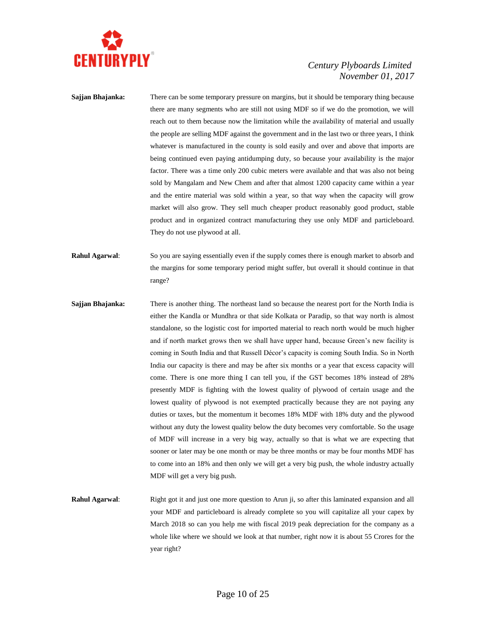

- **Sajjan Bhajanka:** There can be some temporary pressure on margins, but it should be temporary thing because there are many segments who are still not using MDF so if we do the promotion, we will reach out to them because now the limitation while the availability of material and usually the people are selling MDF against the government and in the last two or three years, I think whatever is manufactured in the county is sold easily and over and above that imports are being continued even paying antidumping duty, so because your availability is the major factor. There was a time only 200 cubic meters were available and that was also not being sold by Mangalam and New Chem and after that almost 1200 capacity came within a year and the entire material was sold within a year, so that way when the capacity will grow market will also grow. They sell much cheaper product reasonably good product, stable product and in organized contract manufacturing they use only MDF and particleboard. They do not use plywood at all.
- **Rahul Agarwal:** So you are saying essentially even if the supply comes there is enough market to absorb and the margins for some temporary period might suffer, but overall it should continue in that range?
- **Sajjan Bhajanka:** There is another thing. The northeast land so because the nearest port for the North India is either the Kandla or Mundhra or that side Kolkata or Paradip, so that way north is almost standalone, so the logistic cost for imported material to reach north would be much higher and if north market grows then we shall have upper hand, because Green's new facility is coming in South India and that Russell Décor's capacity is coming South India. So in North India our capacity is there and may be after six months or a year that excess capacity will come. There is one more thing I can tell you, if the GST becomes 18% instead of 28% presently MDF is fighting with the lowest quality of plywood of certain usage and the lowest quality of plywood is not exempted practically because they are not paying any duties or taxes, but the momentum it becomes 18% MDF with 18% duty and the plywood without any duty the lowest quality below the duty becomes very comfortable. So the usage of MDF will increase in a very big way, actually so that is what we are expecting that sooner or later may be one month or may be three months or may be four months MDF has to come into an 18% and then only we will get a very big push, the whole industry actually MDF will get a very big push.
- **Rahul Agarwal:** Right got it and just one more question to Arun ji, so after this laminated expansion and all your MDF and particleboard is already complete so you will capitalize all your capex by March 2018 so can you help me with fiscal 2019 peak depreciation for the company as a whole like where we should we look at that number, right now it is about 55 Crores for the year right?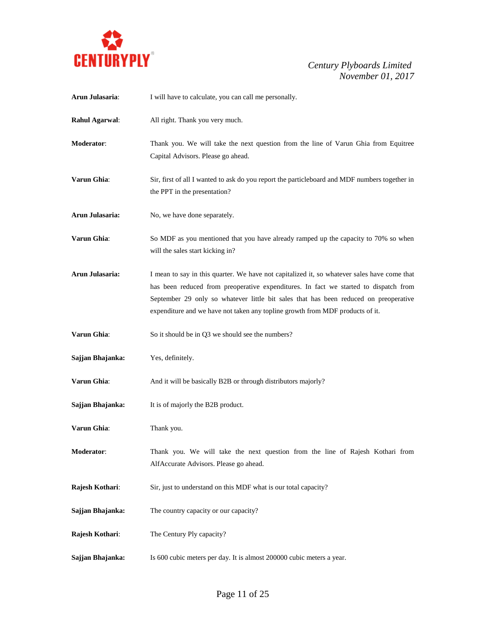

| Arun Julasaria:  | I will have to calculate, you can call me personally.                                                                                                                                                                                                                                                                                                        |
|------------------|--------------------------------------------------------------------------------------------------------------------------------------------------------------------------------------------------------------------------------------------------------------------------------------------------------------------------------------------------------------|
| Rahul Agarwal:   | All right. Thank you very much.                                                                                                                                                                                                                                                                                                                              |
| Moderator:       | Thank you. We will take the next question from the line of Varun Ghia from Equitree<br>Capital Advisors. Please go ahead.                                                                                                                                                                                                                                    |
| Varun Ghia:      | Sir, first of all I wanted to ask do you report the particleboard and MDF numbers together in<br>the PPT in the presentation?                                                                                                                                                                                                                                |
| Arun Julasaria:  | No, we have done separately.                                                                                                                                                                                                                                                                                                                                 |
| Varun Ghia:      | So MDF as you mentioned that you have already ramped up the capacity to 70% so when<br>will the sales start kicking in?                                                                                                                                                                                                                                      |
| Arun Julasaria:  | I mean to say in this quarter. We have not capitalized it, so whatever sales have come that<br>has been reduced from preoperative expenditures. In fact we started to dispatch from<br>September 29 only so whatever little bit sales that has been reduced on preoperative<br>expenditure and we have not taken any topline growth from MDF products of it. |
| Varun Ghia:      | So it should be in Q3 we should see the numbers?                                                                                                                                                                                                                                                                                                             |
| Sajjan Bhajanka: | Yes, definitely.                                                                                                                                                                                                                                                                                                                                             |
| Varun Ghia:      | And it will be basically B2B or through distributors majorly?                                                                                                                                                                                                                                                                                                |
| Sajjan Bhajanka: | It is of majorly the B2B product.                                                                                                                                                                                                                                                                                                                            |
| Varun Ghia:      | Thank you.                                                                                                                                                                                                                                                                                                                                                   |
| Moderator:       | Thank you. We will take the next question from the line of Rajesh Kothari from<br>AlfAccurate Advisors. Please go ahead.                                                                                                                                                                                                                                     |
| Rajesh Kothari:  | Sir, just to understand on this MDF what is our total capacity?                                                                                                                                                                                                                                                                                              |
| Sajjan Bhajanka: | The country capacity or our capacity?                                                                                                                                                                                                                                                                                                                        |
| Rajesh Kothari:  | The Century Ply capacity?                                                                                                                                                                                                                                                                                                                                    |
| Sajjan Bhajanka: | Is 600 cubic meters per day. It is almost 200000 cubic meters a year.                                                                                                                                                                                                                                                                                        |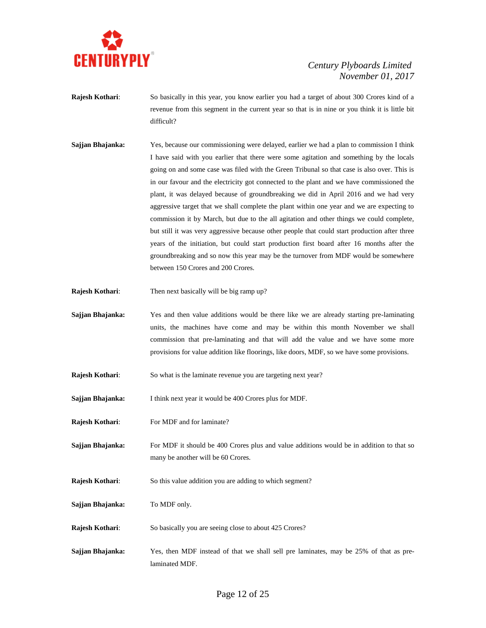

- **Rajesh Kothari**: So basically in this year, you know earlier you had a target of about 300 Crores kind of a revenue from this segment in the current year so that is in nine or you think it is little bit difficult?
- **Sajjan Bhajanka:** Yes, because our commissioning were delayed, earlier we had a plan to commission I think I have said with you earlier that there were some agitation and something by the locals going on and some case was filed with the Green Tribunal so that case is also over. This is in our favour and the electricity got connected to the plant and we have commissioned the plant, it was delayed because of groundbreaking we did in April 2016 and we had very aggressive target that we shall complete the plant within one year and we are expecting to commission it by March, but due to the all agitation and other things we could complete, but still it was very aggressive because other people that could start production after three years of the initiation, but could start production first board after 16 months after the groundbreaking and so now this year may be the turnover from MDF would be somewhere between 150 Crores and 200 Crores.
- **Rajesh Kothari**: Then next basically will be big ramp up?
- **Sajjan Bhajanka:** Yes and then value additions would be there like we are already starting pre-laminating units, the machines have come and may be within this month November we shall commission that pre-laminating and that will add the value and we have some more provisions for value addition like floorings, like doors, MDF, so we have some provisions.
- **Rajesh Kothari:** So what is the laminate revenue you are targeting next year?
- **Sajjan Bhajanka:** I think next year it would be 400 Crores plus for MDF.
- **Rajesh Kothari:** For MDF and for laminate?
- **Sajjan Bhajanka:** For MDF it should be 400 Crores plus and value additions would be in addition to that so many be another will be 60 Crores.
- **Rajesh Kothari:** So this value addition you are adding to which segment?
- **Sajjan Bhajanka:** To MDF only.
- **Rajesh Kothari:** So basically you are seeing close to about 425 Crores?
- **Sajjan Bhajanka:** Yes, then MDF instead of that we shall sell pre laminates, may be 25% of that as prelaminated MDF.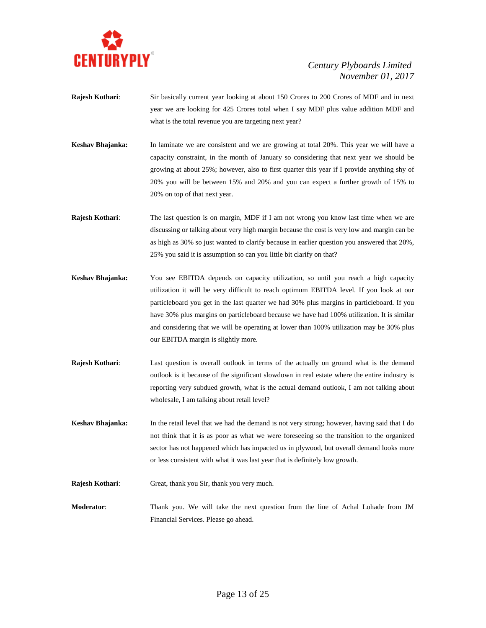

- **Rajesh Kothari:** Sir basically current year looking at about 150 Crores to 200 Crores of MDF and in next year we are looking for 425 Crores total when I say MDF plus value addition MDF and what is the total revenue you are targeting next year?
- **Keshav Bhajanka:** In laminate we are consistent and we are growing at total 20%. This year we will have a capacity constraint, in the month of January so considering that next year we should be growing at about 25%; however, also to first quarter this year if I provide anything shy of 20% you will be between 15% and 20% and you can expect a further growth of 15% to 20% on top of that next year.
- **Rajesh Kothari:** The last question is on margin, MDF if I am not wrong you know last time when we are discussing or talking about very high margin because the cost is very low and margin can be as high as 30% so just wanted to clarify because in earlier question you answered that 20%, 25% you said it is assumption so can you little bit clarify on that?
- **Keshav Bhajanka:** You see EBITDA depends on capacity utilization, so until you reach a high capacity utilization it will be very difficult to reach optimum EBITDA level. If you look at our particleboard you get in the last quarter we had 30% plus margins in particleboard. If you have 30% plus margins on particleboard because we have had 100% utilization. It is similar and considering that we will be operating at lower than 100% utilization may be 30% plus our EBITDA margin is slightly more.
- **Rajesh Kothari**: Last question is overall outlook in terms of the actually on ground what is the demand outlook is it because of the significant slowdown in real estate where the entire industry is reporting very subdued growth, what is the actual demand outlook, I am not talking about wholesale, I am talking about retail level?
- **Keshav Bhajanka:** In the retail level that we had the demand is not very strong; however, having said that I do not think that it is as poor as what we were foreseeing so the transition to the organized sector has not happened which has impacted us in plywood, but overall demand looks more or less consistent with what it was last year that is definitely low growth.

**Rajesh Kothari**: Great, thank you Sir, thank you very much.

**Moderator**: Thank you. We will take the next question from the line of Achal Lohade from JM Financial Services. Please go ahead.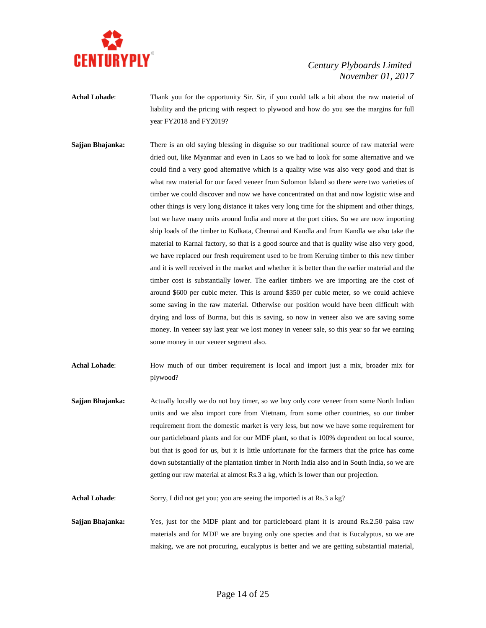

**Achal Lohade**: Thank you for the opportunity Sir. Sir, if you could talk a bit about the raw material of liability and the pricing with respect to plywood and how do you see the margins for full year FY2018 and FY2019?

**Sajjan Bhajanka:** There is an old saying blessing in disguise so our traditional source of raw material were dried out, like Myanmar and even in Laos so we had to look for some alternative and we could find a very good alternative which is a quality wise was also very good and that is what raw material for our faced veneer from Solomon Island so there were two varieties of timber we could discover and now we have concentrated on that and now logistic wise and other things is very long distance it takes very long time for the shipment and other things, but we have many units around India and more at the port cities. So we are now importing ship loads of the timber to Kolkata, Chennai and Kandla and from Kandla we also take the material to Karnal factory, so that is a good source and that is quality wise also very good, we have replaced our fresh requirement used to be from Keruing timber to this new timber and it is well received in the market and whether it is better than the earlier material and the timber cost is substantially lower. The earlier timbers we are importing are the cost of around \$600 per cubic meter. This is around \$350 per cubic meter, so we could achieve some saving in the raw material. Otherwise our position would have been difficult with drying and loss of Burma, but this is saving, so now in veneer also we are saving some money. In veneer say last year we lost money in veneer sale, so this year so far we earning some money in our veneer segment also.

Achal Lohade: How much of our timber requirement is local and import just a mix, broader mix for plywood?

**Sajjan Bhajanka:** Actually locally we do not buy timer, so we buy only core veneer from some North Indian units and we also import core from Vietnam, from some other countries, so our timber requirement from the domestic market is very less, but now we have some requirement for our particleboard plants and for our MDF plant, so that is 100% dependent on local source, but that is good for us, but it is little unfortunate for the farmers that the price has come down substantially of the plantation timber in North India also and in South India, so we are getting our raw material at almost Rs.3 a kg, which is lower than our projection.

Achal Lohade: Sorry, I did not get you; you are seeing the imported is at Rs.3 a kg?

**Sajjan Bhajanka:** Yes, just for the MDF plant and for particleboard plant it is around Rs.2.50 paisa raw materials and for MDF we are buying only one species and that is Eucalyptus, so we are making, we are not procuring, eucalyptus is better and we are getting substantial material,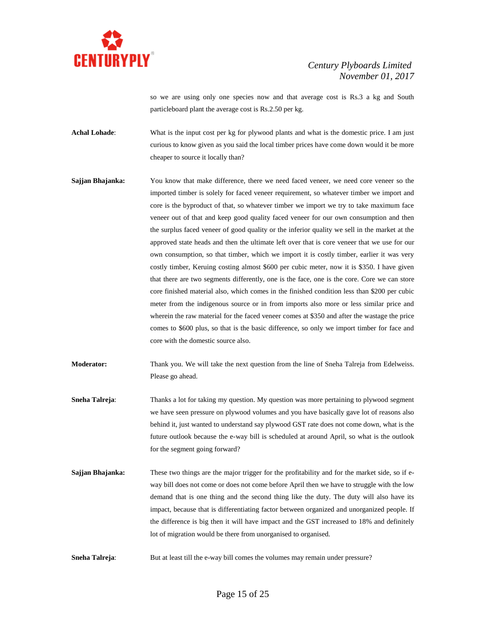

so we are using only one species now and that average cost is Rs.3 a kg and South particleboard plant the average cost is Rs.2.50 per kg.

**Achal Lohade**: What is the input cost per kg for plywood plants and what is the domestic price. I am just curious to know given as you said the local timber prices have come down would it be more cheaper to source it locally than?

**Sajjan Bhajanka:** You know that make difference, there we need faced veneer, we need core veneer so the imported timber is solely for faced veneer requirement, so whatever timber we import and core is the byproduct of that, so whatever timber we import we try to take maximum face veneer out of that and keep good quality faced veneer for our own consumption and then the surplus faced veneer of good quality or the inferior quality we sell in the market at the approved state heads and then the ultimate left over that is core veneer that we use for our own consumption, so that timber, which we import it is costly timber, earlier it was very costly timber, Keruing costing almost \$600 per cubic meter, now it is \$350. I have given that there are two segments differently, one is the face, one is the core. Core we can store core finished material also, which comes in the finished condition less than \$200 per cubic meter from the indigenous source or in from imports also more or less similar price and wherein the raw material for the faced veneer comes at \$350 and after the wastage the price comes to \$600 plus, so that is the basic difference, so only we import timber for face and core with the domestic source also.

**Moderator:** Thank you. We will take the next question from the line of Sneha Talreja from Edelweiss. Please go ahead.

- **Sneha Talreja:** Thanks a lot for taking my question. My question was more pertaining to plywood segment we have seen pressure on plywood volumes and you have basically gave lot of reasons also behind it, just wanted to understand say plywood GST rate does not come down, what is the future outlook because the e-way bill is scheduled at around April, so what is the outlook for the segment going forward?
- **Sajjan Bhajanka:** These two things are the major trigger for the profitability and for the market side, so if eway bill does not come or does not come before April then we have to struggle with the low demand that is one thing and the second thing like the duty. The duty will also have its impact, because that is differentiating factor between organized and unorganized people. If the difference is big then it will have impact and the GST increased to 18% and definitely lot of migration would be there from unorganised to organised.
- **Sneha Talreja:** But at least till the e-way bill comes the volumes may remain under pressure?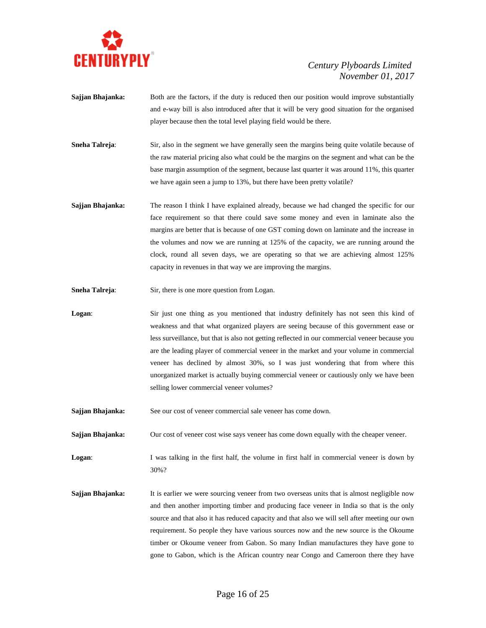

- **Sajjan Bhajanka:** Both are the factors, if the duty is reduced then our position would improve substantially and e-way bill is also introduced after that it will be very good situation for the organised player because then the total level playing field would be there.
- **Sneha Talreja**: Sir, also in the segment we have generally seen the margins being quite volatile because of the raw material pricing also what could be the margins on the segment and what can be the base margin assumption of the segment, because last quarter it was around 11%, this quarter we have again seen a jump to 13%, but there have been pretty volatile?
- **Sajjan Bhajanka:** The reason I think I have explained already, because we had changed the specific for our face requirement so that there could save some money and even in laminate also the margins are better that is because of one GST coming down on laminate and the increase in the volumes and now we are running at 125% of the capacity, we are running around the clock, round all seven days, we are operating so that we are achieving almost 125% capacity in revenues in that way we are improving the margins.
- **Sneha Talreja:** Sir, there is one more question from Logan.
- **Logan**: Sir just one thing as you mentioned that industry definitely has not seen this kind of weakness and that what organized players are seeing because of this government ease or less surveillance, but that is also not getting reflected in our commercial veneer because you are the leading player of commercial veneer in the market and your volume in commercial veneer has declined by almost 30%, so I was just wondering that from where this unorganized market is actually buying commercial veneer or cautiously only we have been selling lower commercial veneer volumes?
- **Sajjan Bhajanka:** See our cost of veneer commercial sale veneer has come down.

**Sajjan Bhajanka:** Our cost of veneer cost wise says veneer has come down equally with the cheaper veneer.

**Logan:** I was talking in the first half, the volume in first half in commercial veneer is down by 30%?

**Sajjan Bhajanka:** It is earlier we were sourcing veneer from two overseas units that is almost negligible now and then another importing timber and producing face veneer in India so that is the only source and that also it has reduced capacity and that also we will sell after meeting our own requirement. So people they have various sources now and the new source is the Okoume timber or Okoume veneer from Gabon. So many Indian manufactures they have gone to gone to Gabon, which is the African country near Congo and Cameroon there they have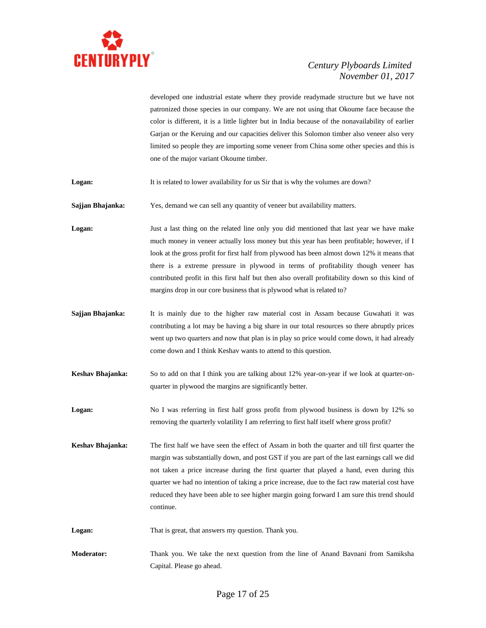

developed one industrial estate where they provide readymade structure but we have not patronized those species in our company. We are not using that Okoume face because the color is different, it is a little lighter but in India because of the nonavailability of earlier Garjan or the Keruing and our capacities deliver this Solomon timber also veneer also very limited so people they are importing some veneer from China some other species and this is one of the major variant Okoume timber.

**Logan:** It is related to lower availability for us Sir that is why the volumes are down?

**Sajjan Bhajanka:** Yes, demand we can sell any quantity of veneer but availability matters.

Logan: Just a last thing on the related line only you did mentioned that last year we have make much money in veneer actually loss money but this year has been profitable; however, if I look at the gross profit for first half from plywood has been almost down 12% it means that there is a extreme pressure in plywood in terms of profitability though veneer has contributed profit in this first half but then also overall profitability down so this kind of margins drop in our core business that is plywood what is related to?

- **Sajjan Bhajanka:** It is mainly due to the higher raw material cost in Assam because Guwahati it was contributing a lot may be having a big share in our total resources so there abruptly prices went up two quarters and now that plan is in play so price would come down, it had already come down and I think Keshav wants to attend to this question.
- **Keshav Bhajanka:** So to add on that I think you are talking about 12% year-on-year if we look at quarter-onquarter in plywood the margins are significantly better.
- **Logan:** No I was referring in first half gross profit from plywood business is down by 12% so removing the quarterly volatility I am referring to first half itself where gross profit?
- **Keshav Bhajanka:** The first half we have seen the effect of Assam in both the quarter and till first quarter the margin was substantially down, and post GST if you are part of the last earnings call we did not taken a price increase during the first quarter that played a hand, even during this quarter we had no intention of taking a price increase, due to the fact raw material cost have reduced they have been able to see higher margin going forward I am sure this trend should continue.
- **Logan:** That is great, that answers my question. Thank you.
- **Moderator:** Thank you. We take the next question from the line of Anand Bavnani from Samiksha Capital. Please go ahead.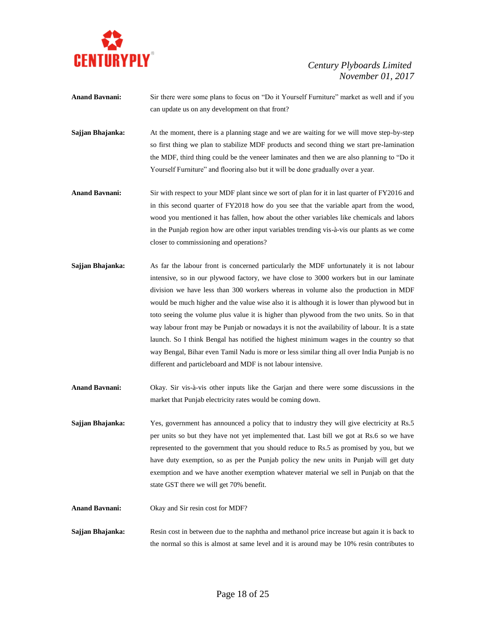

- **Anand Bavnani:** Sir there were some plans to focus on "Do it Yourself Furniture" market as well and if you can update us on any development on that front?
- **Sajjan Bhajanka:** At the moment, there is a planning stage and we are waiting for we will move step-by-step so first thing we plan to stabilize MDF products and second thing we start pre-lamination the MDF, third thing could be the veneer laminates and then we are also planning to "Do it Yourself Furniture" and flooring also but it will be done gradually over a year.
- **Anand Bavnani:** Sir with respect to your MDF plant since we sort of plan for it in last quarter of FY2016 and in this second quarter of FY2018 how do you see that the variable apart from the wood, wood you mentioned it has fallen, how about the other variables like chemicals and labors in the Punjab region how are other input variables trending vis-à-vis our plants as we come closer to commissioning and operations?
- **Sajjan Bhajanka:** As far the labour front is concerned particularly the MDF unfortunately it is not labour intensive, so in our plywood factory, we have close to 3000 workers but in our laminate division we have less than 300 workers whereas in volume also the production in MDF would be much higher and the value wise also it is although it is lower than plywood but in toto seeing the volume plus value it is higher than plywood from the two units. So in that way labour front may be Punjab or nowadays it is not the availability of labour. It is a state launch. So I think Bengal has notified the highest minimum wages in the country so that way Bengal, Bihar even Tamil Nadu is more or less similar thing all over India Punjab is no different and particleboard and MDF is not labour intensive.
- **Anand Bavnani:** Okay. Sir vis-à-vis other inputs like the Garjan and there were some discussions in the market that Punjab electricity rates would be coming down.
- **Sajjan Bhajanka:** Yes, government has announced a policy that to industry they will give electricity at Rs.5 per units so but they have not yet implemented that. Last bill we got at Rs.6 so we have represented to the government that you should reduce to Rs.5 as promised by you, but we have duty exemption, so as per the Punjab policy the new units in Punjab will get duty exemption and we have another exemption whatever material we sell in Punjab on that the state GST there we will get 70% benefit.
- **Anand Bavnani:** Okay and Sir resin cost for MDF?

**Sajjan Bhajanka:** Resin cost in between due to the naphtha and methanol price increase but again it is back to the normal so this is almost at same level and it is around may be 10% resin contributes to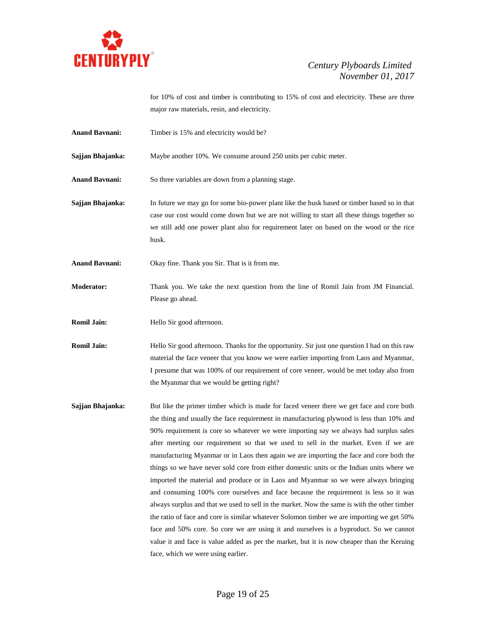

for 10% of cost and timber is contributing to 15% of cost and electricity. These are three major raw materials, resin, and electricity.

Anand Bavnani: Timber is 15% and electricity would be?

**Sajjan Bhajanka:** Maybe another 10%. We consume around 250 units per cubic meter.

**Anand Bavnani:** So three variables are down from a planning stage.

**Sajjan Bhajanka:** In future we may go for some bio-power plant like the husk based or timber based so in that case our cost would come down but we are not willing to start all these things together so we still add one power plant also for requirement later on based on the wood or the rice husk.

**Anand Bavnani:** Okay fine. Thank you Sir. That is it from me.

**Moderator:** Thank you. We take the next question from the line of Romil Jain from JM Financial. Please go ahead.

**Romil Jain:** Hello Sir good afternoon.

**Romil Jain:** Hello Sir good afternoon. Thanks for the opportunity. Sir just one question I had on this raw material the face veneer that you know we were earlier importing from Laos and Myanmar, I presume that was 100% of our requirement of core veneer, would be met today also from the Myanmar that we would be getting right?

**Sajjan Bhajanka:** But like the primer timber which is made for faced veneer there we get face and core both the thing and usually the face requirement in manufacturing plywood is less than 10% and 90% requirement is core so whatever we were importing say we always had surplus sales after meeting our requirement so that we used to sell in the market. Even if we are manufacturing Myanmar or in Laos then again we are importing the face and core both the things so we have never sold core from either domestic units or the Indian units where we imported the material and produce or in Laos and Myanmar so we were always bringing and consuming 100% core ourselves and face because the requirement is less so it was always surplus and that we used to sell in the market. Now the same is with the other timber the ratio of face and core is similar whatever Solomon timber we are importing we get 50% face and 50% core. So core we are using it and ourselves is a byproduct. So we cannot value it and face is value added as per the market, but it is now cheaper than the Keruing face, which we were using earlier.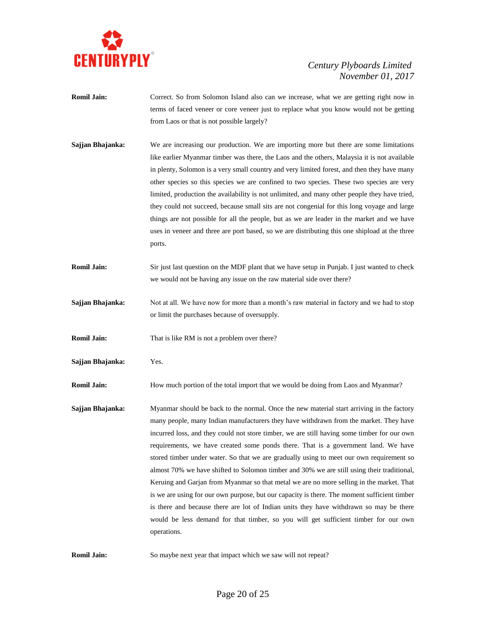

- **Romil Jain:** Correct. So from Solomon Island also can we increase, what we are getting right now in terms of faced veneer or core veneer just to replace what you know would not be getting from Laos or that is not possible largely?
- **Sajjan Bhajanka:** We are increasing our production. We are importing more but there are some limitations like earlier Myanmar timber was there, the Laos and the others, Malaysia it is not available in plenty, Solomon is a very small country and very limited forest, and then they have many other species so this species we are confined to two species. These two species are very limited, production the availability is not unlimited, and many other people they have tried, they could not succeed, because small sits are not congenial for this long voyage and large things are not possible for all the people, but as we are leader in the market and we have uses in veneer and three are port based, so we are distributing this one shipload at the three ports.
- **Romil Jain:** Sir just last question on the MDF plant that we have setup in Punjab. I just wanted to check we would not be having any issue on the raw material side over there?
- **Sajjan Bhajanka:** Not at all. We have now for more than a month's raw material in factory and we had to stop or limit the purchases because of oversupply.
- **Romil Jain:** That is like RM is not a problem over there?
- **Sajjan Bhajanka:** Yes.

**Romil Jain:** How much portion of the total import that we would be doing from Laos and Myanmar?

- **Sajjan Bhajanka:** Myanmar should be back to the normal. Once the new material start arriving in the factory many people, many Indian manufacturers they have withdrawn from the market. They have incurred loss, and they could not store timber, we are still having some timber for our own requirements, we have created some ponds there. That is a government land. We have stored timber under water. So that we are gradually using to meet our own requirement so almost 70% we have shifted to Solomon timber and 30% we are still using their traditional, Keruing and Garjan from Myanmar so that metal we are no more selling in the market. That is we are using for our own purpose, but our capacity is there. The moment sufficient timber is there and because there are lot of Indian units they have withdrawn so may be there would be less demand for that timber, so you will get sufficient timber for our own operations.
- **Romil Jain:** So maybe next year that impact which we saw will not repeat?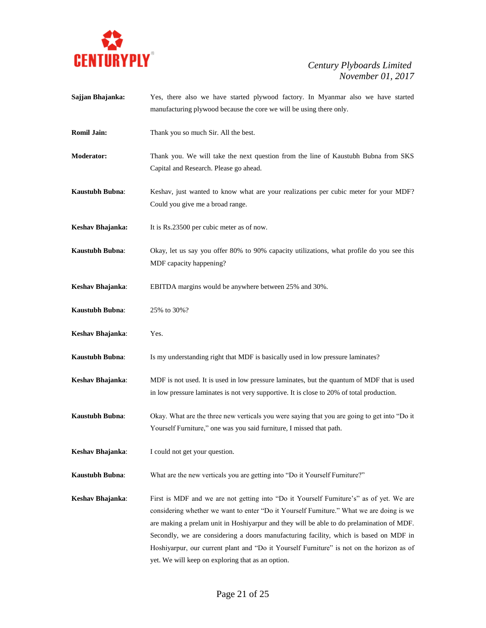

**Sajjan Bhajanka:** Yes, there also we have started plywood factory. In Myanmar also we have started manufacturing plywood because the core we will be using there only. **Romil Jain:** Thank you so much Sir. All the best. **Moderator:** Thank you. We will take the next question from the line of Kaustubh Bubna from SKS Capital and Research. Please go ahead. **Kaustubh Bubna:** Keshav, just wanted to know what are your realizations per cubic meter for your MDF? Could you give me a broad range. **Keshav Bhajanka:** It is Rs.23500 per cubic meter as of now. **Kaustubh Bubna**: Okay, let us say you offer 80% to 90% capacity utilizations, what profile do you see this MDF capacity happening? **Keshav Bhajanka**: EBITDA margins would be anywhere between 25% and 30%. **Kaustubh Bubna**: 25% to 30%? **Keshav Bhajanka**: Yes. **Kaustubh Bubna**: Is my understanding right that MDF is basically used in low pressure laminates? **Keshav Bhajanka**: MDF is not used. It is used in low pressure laminates, but the quantum of MDF that is used in low pressure laminates is not very supportive. It is close to 20% of total production. **Kaustubh Bubna**: Okay. What are the three new verticals you were saying that you are going to get into "Do it Yourself Furniture," one was you said furniture, I missed that path. **Keshav Bhajanka**: I could not get your question. **Kaustubh Bubna:** What are the new verticals you are getting into "Do it Yourself Furniture?" **Keshav Bhajanka**: First is MDF and we are not getting into "Do it Yourself Furniture's" as of yet. We are considering whether we want to enter "Do it Yourself Furniture." What we are doing is we are making a prelam unit in Hoshiyarpur and they will be able to do prelamination of MDF. Secondly, we are considering a doors manufacturing facility, which is based on MDF in Hoshiyarpur, our current plant and "Do it Yourself Furniture" is not on the horizon as of yet. We will keep on exploring that as an option.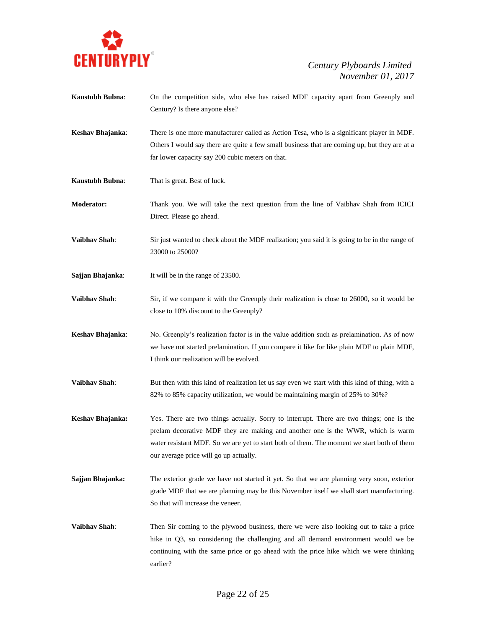

- **Kaustubh Bubna**: On the competition side, who else has raised MDF capacity apart from Greenply and Century? Is there anyone else?
- **Keshav Bhajanka**: There is one more manufacturer called as Action Tesa, who is a significant player in MDF. Others I would say there are quite a few small business that are coming up, but they are at a far lower capacity say 200 cubic meters on that.
- **Kaustubh Bubna**: That is great. Best of luck.
- **Moderator:** Thank you. We will take the next question from the line of Vaibhav Shah from ICICI Direct. Please go ahead.
- **Vaibhav Shah:** Sir just wanted to check about the MDF realization; you said it is going to be in the range of 23000 to 25000?
- **Sajjan Bhajanka**: It will be in the range of 23500.
- **Vaibhav Shah:** Sir, if we compare it with the Greenply their realization is close to 26000, so it would be close to 10% discount to the Greenply?
- **Keshav Bhajanka**: No. Greenply's realization factor is in the value addition such as prelamination. As of now we have not started prelamination. If you compare it like for like plain MDF to plain MDF, I think our realization will be evolved.
- **Vaibhav Shah**: But then with this kind of realization let us say even we start with this kind of thing, with a 82% to 85% capacity utilization, we would be maintaining margin of 25% to 30%?
- **Keshav Bhajanka:** Yes. There are two things actually. Sorry to interrupt. There are two things; one is the prelam decorative MDF they are making and another one is the WWR, which is warm water resistant MDF. So we are yet to start both of them. The moment we start both of them our average price will go up actually.
- Sajjan Bhajanka: The exterior grade we have not started it yet. So that we are planning very soon, exterior grade MDF that we are planning may be this November itself we shall start manufacturing. So that will increase the veneer.
- **Vaibhav Shah**: Then Sir coming to the plywood business, there we were also looking out to take a price hike in Q3, so considering the challenging and all demand environment would we be continuing with the same price or go ahead with the price hike which we were thinking earlier?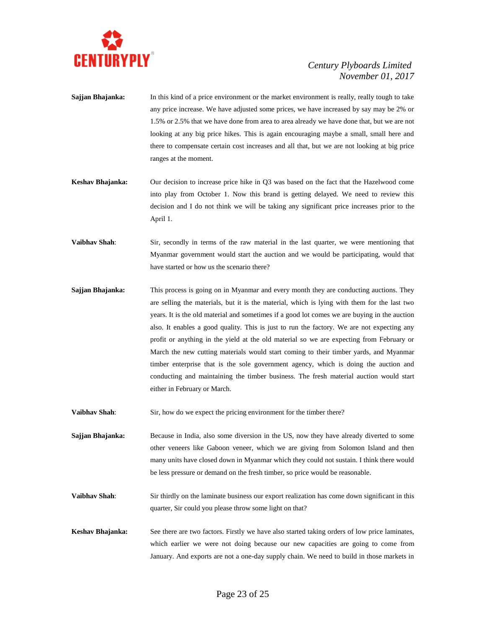

- **Sajjan Bhajanka:** In this kind of a price environment or the market environment is really, really tough to take any price increase. We have adjusted some prices, we have increased by say may be 2% or 1.5% or 2.5% that we have done from area to area already we have done that, but we are not looking at any big price hikes. This is again encouraging maybe a small, small here and there to compensate certain cost increases and all that, but we are not looking at big price ranges at the moment.
- **Keshav Bhajanka:** Our decision to increase price hike in Q3 was based on the fact that the Hazelwood come into play from October 1. Now this brand is getting delayed. We need to review this decision and I do not think we will be taking any significant price increases prior to the April 1.
- **Vaibhav Shah**: Sir, secondly in terms of the raw material in the last quarter, we were mentioning that Myanmar government would start the auction and we would be participating, would that have started or how us the scenario there?
- **Sajjan Bhajanka:** This process is going on in Myanmar and every month they are conducting auctions. They are selling the materials, but it is the material, which is lying with them for the last two years. It is the old material and sometimes if a good lot comes we are buying in the auction also. It enables a good quality. This is just to run the factory. We are not expecting any profit or anything in the yield at the old material so we are expecting from February or March the new cutting materials would start coming to their timber yards, and Myanmar timber enterprise that is the sole government agency, which is doing the auction and conducting and maintaining the timber business. The fresh material auction would start either in February or March.
- **Vaibhav Shah**: Sir, how do we expect the pricing environment for the timber there?

**Sajjan Bhajanka:** Because in India, also some diversion in the US, now they have already diverted to some other veneers like Gaboon veneer, which we are giving from Solomon Island and then many units have closed down in Myanmar which they could not sustain. I think there would be less pressure or demand on the fresh timber, so price would be reasonable.

- **Vaibhav Shah**: Sir thirdly on the laminate business our export realization has come down significant in this quarter, Sir could you please throw some light on that?
- **Keshav Bhajanka:** See there are two factors. Firstly we have also started taking orders of low price laminates, which earlier we were not doing because our new capacities are going to come from January. And exports are not a one-day supply chain. We need to build in those markets in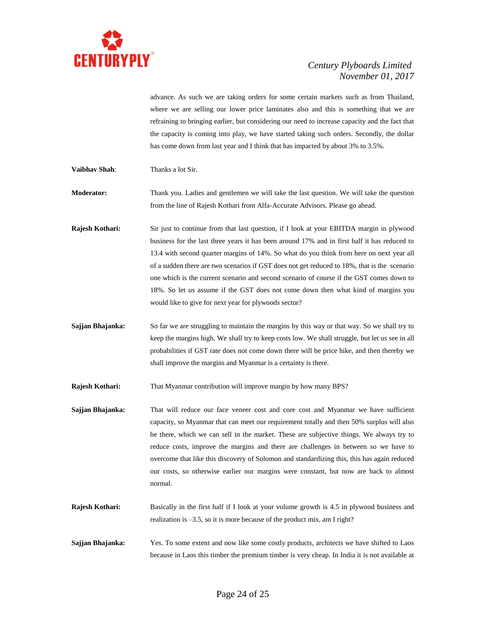

advance. As such we are taking orders for some certain markets such as from Thailand, where we are selling our lower price laminates also and this is something that we are refraining to bringing earlier, but considering our need to increase capacity and the fact that the capacity is coming into play, we have started taking such orders. Secondly, the dollar has come down from last year and I think that has impacted by about 3% to 3.5%.

**Vaibhav Shah**: Thanks a lot Sir.

**Moderator:** Thank you. Ladies and gentlemen we will take the last question. We will take the question from the line of Rajesh Kothari from Alfa-Accurate Advisors. Please go ahead.

**Rajesh Kothari:** Sir just to continue from that last question, if I look at your EBITDA margin in plywood business for the last three years it has been around 17% and in first half it has reduced to 13.4 with second quarter margins of 14%. So what do you think from here on next year all of a sudden there are two scenarios if GST does not get reduced to 18%, that is the scenario one which is the current scenario and second scenario of course if the GST comes down to 18%. So let us assume if the GST does not come down then what kind of margins you would like to give for next year for plywoods sector?

**Sajjan Bhajanka:** So far we are struggling to maintain the margins by this way or that way. So we shall try to keep the margins high. We shall try to keep costs low. We shall struggle, but let us see in all probabilities if GST rate does not come down there will be price hike, and then thereby we shall improve the margins and Myanmar is a certainty is there.

**Rajesh Kothari:** That Myanmar contribution will improve margin by how many BPS?

**Sajjan Bhajanka:** That will reduce our face veneer cost and core cost and Myanmar we have sufficient capacity, so Myanmar that can meet our requirement totally and then 50% surplus will also be there, which we can sell in the market. These are subjective things. We always try to reduce costs, improve the margins and there are challenges in between so we have to overcome that like this discovery of Solomon and standardizing this, this has again reduced our costs, so otherwise earlier our margins were constant, but now are back to almost normal.

**Rajesh Kothari:** Basically in the first half if I look at your volume growth is 4.5 in plywood business and realization is –3.5, so it is more because of the product mix, am I right?

**Sajjan Bhajanka:** Yes. To some extent and now like some costly products, architects we have shifted to Laos because in Laos this timber the premium timber is very cheap. In India it is not available at